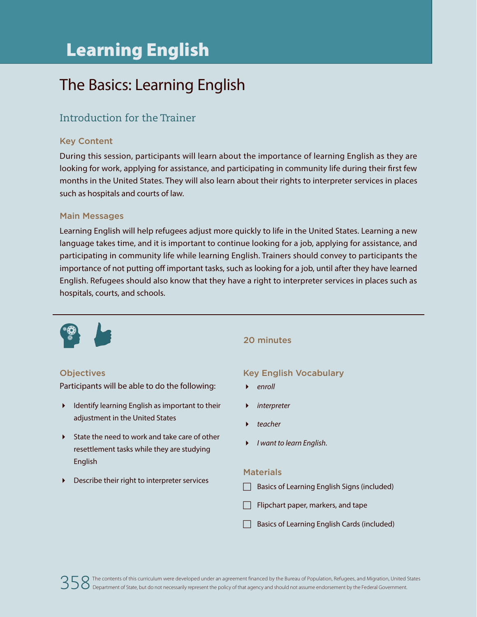# Learning English

# The Basics: Learning English

### Introduction for the Trainer

#### Key Content

During this session, participants will learn about the importance of learning English as they are looking for work, applying for assistance, and participating in community life during their first few months in the United States. They will also learn about their rights to interpreter services in places such as hospitals and courts of law.

#### Main Messages

Learning English will help refugees adjust more quickly to life in the United States. Learning a new language takes time, and it is important to continue looking for a job, applying for assistance, and participating in community life while learning English. Trainers should convey to participants the importance of not putting off important tasks, such as looking for a job, until after they have learned English. Refugees should also know that they have a right to interpreter services in places such as hospitals, courts, and schools.



#### **Objectives**

Participants will be able to do the following:

- Identify learning English as important to their adiustment in the United States
- State the need to work and take care of other resettlement tasks while they are studying English
- Describe their right to interpreter services

#### 20 minutes

#### Key English Vocabulary

- *enroll*
- *interpreter*
- *teacher*
- *I want to learn English.*

#### **Materials**

- $\Box$  Basics of Learning English Signs (included)
- Flipchart paper, markers, and tape
- Basics of Learning English Cards (included)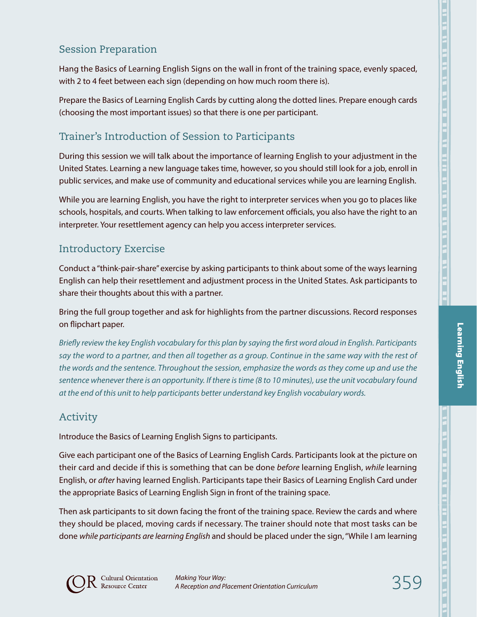Hang the Basics of Learning English Signs on the wall in front of the training space, evenly spaced, with 2 to 4 feet between each sign (depending on how much room there is).

Prepare the Basics of Learning English Cards by cutting along the dotted lines. Prepare enough cards (choosing the most important issues) so that there is one per participant.

# Trainer's Introduction of Session to Participants

During this session we will talk about the importance of learning English to your adjustment in the United States. Learning a new language takes time, however, so you should still look for a job, enroll in public services, and make use of community and educational services while you are learning English.

While you are learning English, you have the right to interpreter services when you go to places like schools, hospitals, and courts. When talking to law enforcement officials, you also have the right to an interpreter. Your resettlement agency can help you access interpreter services.

## Introductory Exercise

Conduct a "think-pair-share" exercise by asking participants to think about some of the ways learning English can help their resettlement and adjustment process in the United States. Ask participants to share their thoughts about this with a partner.

Bring the full group together and ask for highlights from the partner discussions. Record responses on flipchart paper.

*Briefly review the key English vocabulary for this plan by saying the first word aloud in English. Participants say the word to a partner, and then all together as a group. Continue in the same way with the rest of the words and the sentence. Throughout the session, emphasize the words as they come up and use the sentence whenever there is an opportunity. If there is time (8 to 10 minutes), use the unit vocabulary found at the end of this unit to help participants better understand key English vocabulary words.*

## Activity

Introduce the Basics of Learning English Signs to participants.

Give each participant one of the Basics of Learning English Cards. Participants look at the picture on their card and decide if this is something that can be done *before* learning English, *while* learning English, or *after* having learned English. Participants tape their Basics of Learning English Card under the appropriate Basics of Learning English Sign in front of the training space.

Then ask participants to sit down facing the front of the training space. Review the cards and where they should be placed, moving cards if necessary. The trainer should note that most tasks can be done *while participants are learning English* and should be placed under the sign, "While I am learning



Learning English

**Learning English**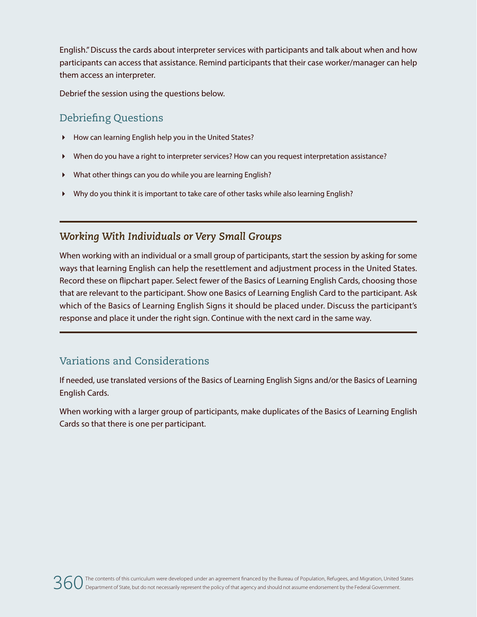English." Discuss the cards about interpreter services with participants and talk about when and how participants can access that assistance. Remind participants that their case worker/manager can help them access an interpreter.

Debrief the session using the questions below.

### Debriefing Questions

- How can learning English help you in the United States?
- When do you have a right to interpreter services? How can you request interpretation assistance?
- What other things can you do while you are learning English?
- Why do you think it is important to take care of other tasks while also learning English?

### *Working With Individuals or Very Small Groups*

When working with an individual or a small group of participants, start the session by asking for some ways that learning English can help the resettlement and adjustment process in the United States. Record these on flipchart paper. Select fewer of the Basics of Learning English Cards, choosing those that are relevant to the participant. Show one Basics of Learning English Card to the participant. Ask which of the Basics of Learning English Signs it should be placed under. Discuss the participant's response and place it under the right sign. Continue with the next card in the same way.

### Variations and Considerations

If needed, use translated versions of the Basics of Learning English Signs and/or the Basics of Learning English Cards.

When working with a larger group of participants, make duplicates of the Basics of Learning English Cards so that there is one per participant.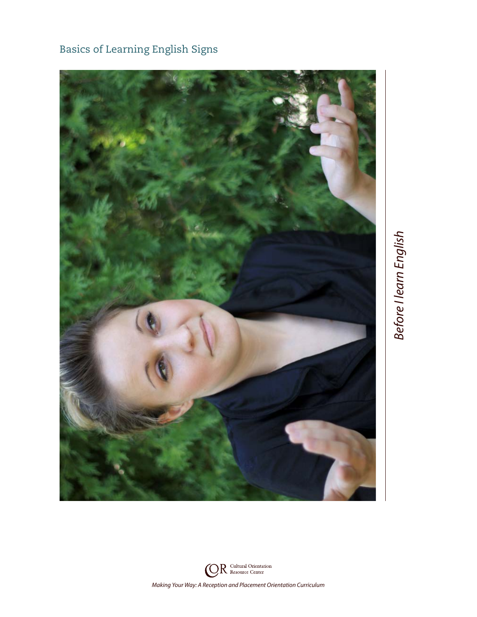

Basics of Learning English Signs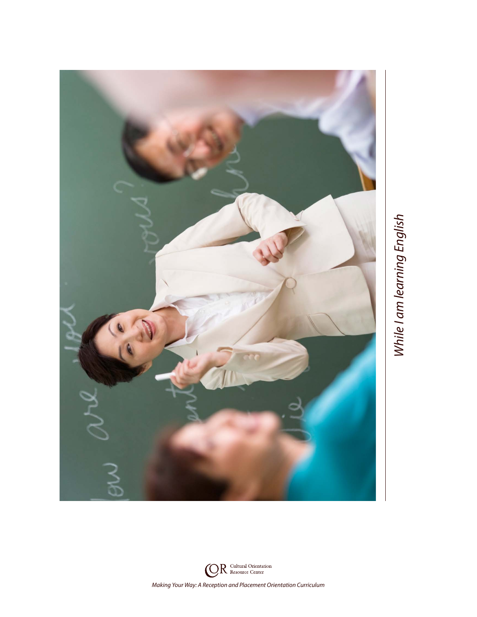

While I am learning English *While I am learning English*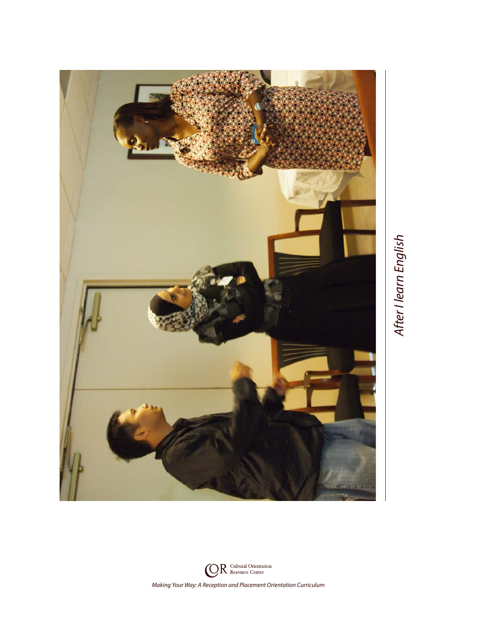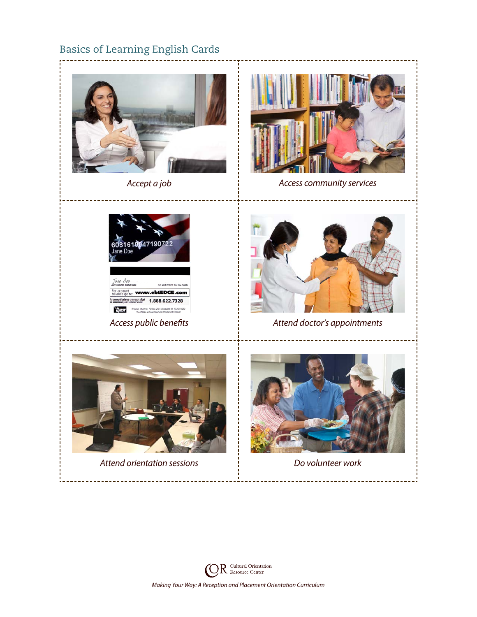# Basics of Learning English Cards





*Accept a job Access community services*



Tane Doe unt<br>go to: **www.ebtEDGE.com** Ince or to report a lost 1.888.622.7328 MULLIST If found, return to: PO Box 290, Milwaukee WI 53201-0290



*Access public benefits Attend doctor's appointments*



*Attend orientation sessions Do volunteer work*



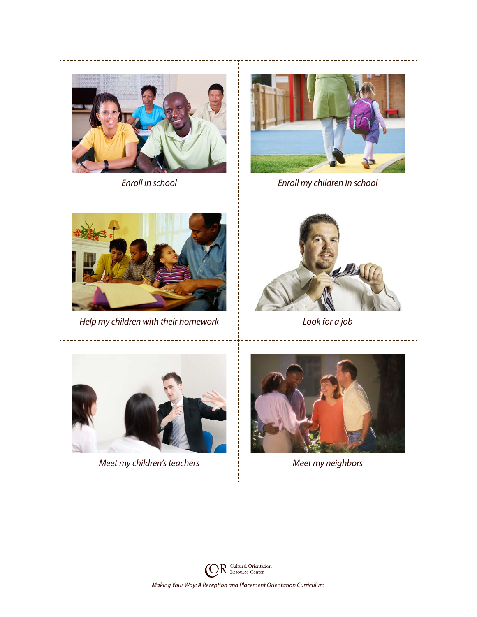



 $\mathcal{L}(\mathcal{L})$ 



*Meet my children's teachers Meet my neighbors*